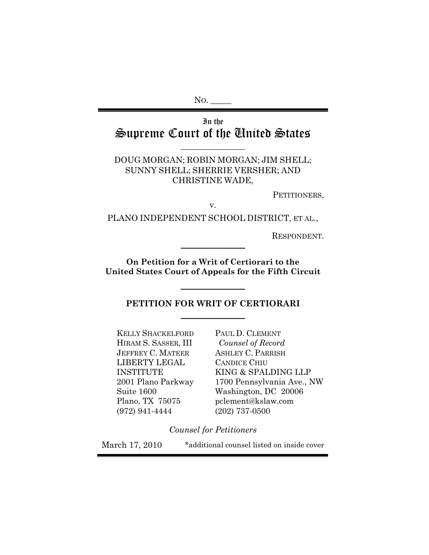No.

# In the Supreme Court of the United States

**\_\_\_\_\_\_\_\_\_\_\_\_\_\_\_\_**

DOUG MORGAN; ROBIN MORGAN; JIM SHELL; SUNNY SHELL; SHERRIE VERSHER; AND CHRISTINE WADE,

PETITIONERS,

v.

PLANO INDEPENDENT SCHOOL DISTRICT, ET AL.,

RESPONDENT.

**On Petition for a Writ of Certiorari to the United States Court of Appeals for the Fifth Circuit** 

 $\frac{1}{2}$ 

 $\frac{1}{2}$ 

# **PETITION FOR WRIT OF CERTIORARI**   $\frac{1}{2}$  ,  $\frac{1}{2}$  ,  $\frac{1}{2}$  ,  $\frac{1}{2}$  ,  $\frac{1}{2}$  ,  $\frac{1}{2}$  ,  $\frac{1}{2}$  ,  $\frac{1}{2}$  ,  $\frac{1}{2}$  ,  $\frac{1}{2}$

KELLY SHACKELFORD HIRAM S. SASSER, III JEFFREY C. MATEER LIBERTY LEGAL INSTITUTE 2001 Plano Parkway Suite 1600 Plano, TX 75075 (972) 941-4444

PAUL D. CLEMENT *Counsel of Record* ASHLEY C. PARRISH CANDICE CHIU KING & SPALDING LLP 1700 Pennsylvania Ave., NW Washington, DC 20006 pclement@kslaw.com (202) 737-0500

*Counsel for Petitioners* 

March 17, 2010 \*additional counsel listed on inside cover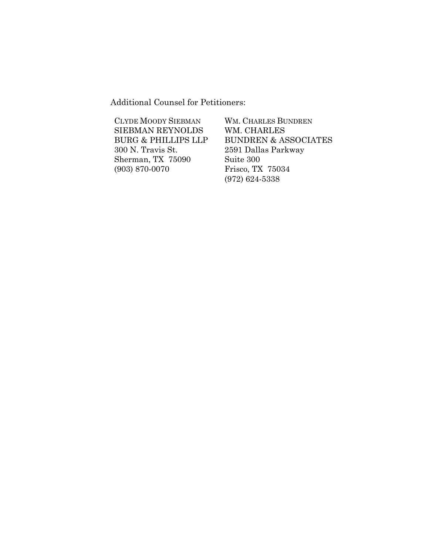Additional Counsel for Petitioners:

| <b>CLYDE MOODY SIEBMAN</b>     | <b>WM. CHARLES BUNDREN</b>      |
|--------------------------------|---------------------------------|
| <b>SIEBMAN REYNOLDS</b>        | WM. CHARLES                     |
| <b>BURG &amp; PHILLIPS LLP</b> | <b>BUNDREN &amp; ASSOCIATES</b> |
| 300 N. Travis St.              | 2591 Dallas Parkway             |
| Sherman, TX 75090              | Suite 300                       |
| $(903) 870 - 0070$             | Frisco, TX 75034                |
|                                | $(972) 624 - 5338$              |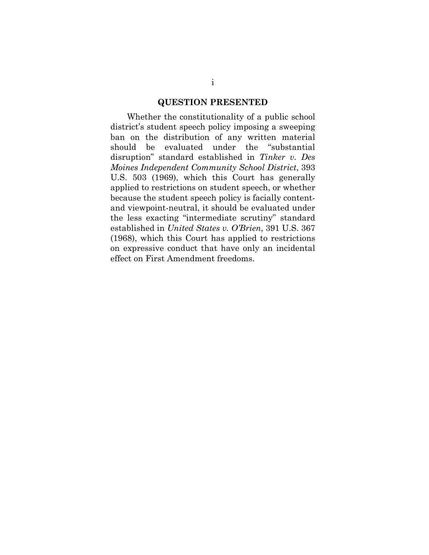#### **QUESTION PRESENTED**

Whether the constitutionality of a public school district's student speech policy imposing a sweeping ban on the distribution of any written material should be evaluated under the "substantial disruption" standard established in *Tinker v. Des Moines Independent Community School District*, 393 U.S. 503 (1969), which this Court has generally applied to restrictions on student speech, or whether because the student speech policy is facially contentand viewpoint-neutral, it should be evaluated under the less exacting "intermediate scrutiny" standard established in *United States v. O'Brien*, 391 U.S. 367 (1968), which this Court has applied to restrictions on expressive conduct that have only an incidental effect on First Amendment freedoms.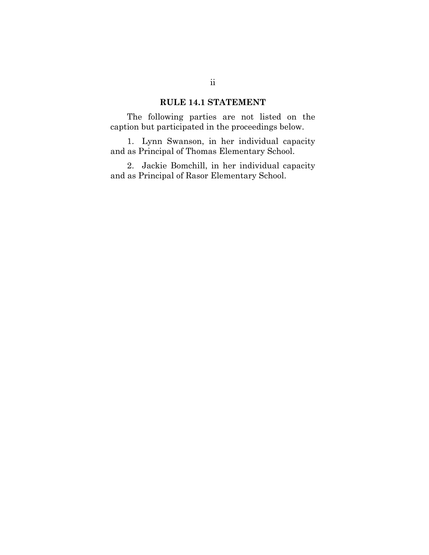# **RULE 14.1 STATEMENT**

The following parties are not listed on the caption but participated in the proceedings below.

1. Lynn Swanson, in her individual capacity and as Principal of Thomas Elementary School.

2. Jackie Bomchill, in her individual capacity and as Principal of Rasor Elementary School.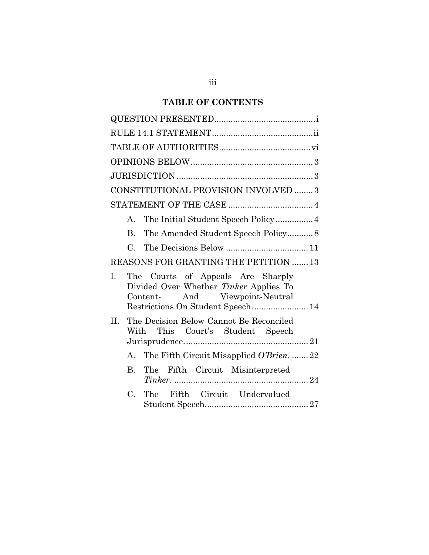# **TABLE OF CONTENTS**

| CONSTITUTIONAL PROVISION INVOLVED  3                                                                                                                        |
|-------------------------------------------------------------------------------------------------------------------------------------------------------------|
|                                                                                                                                                             |
|                                                                                                                                                             |
| The Amended Student Speech Policy 8<br>B.                                                                                                                   |
| $C_{\cdot}$                                                                                                                                                 |
| REASONS FOR GRANTING THE PETITION  13                                                                                                                       |
| T.<br>The Courts of Appeals Are Sharply<br>Divided Over Whether Tinker Applies To<br>And Viewpoint-Neutral<br>Content-<br>Restrictions On Student Speech 14 |
| The Decision Below Cannot Be Reconciled<br>$\Pi$ .<br>With This Court's Student Speech                                                                      |
| A. The Fifth Circuit Misapplied O'Brien.  22                                                                                                                |
| B <sub>1</sub><br>The Fifth Circuit Misinterpreted                                                                                                          |
| The Fifth Circuit Undervalued<br>$C_{\cdot}$                                                                                                                |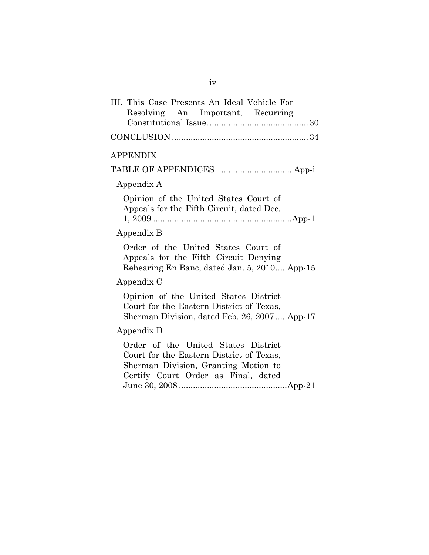| III. This Case Presents An Ideal Vehicle For<br>Resolving An Important, Recurring                                                                              |
|----------------------------------------------------------------------------------------------------------------------------------------------------------------|
|                                                                                                                                                                |
| <b>APPENDIX</b>                                                                                                                                                |
| TABLE OF APPENDICES  App-i                                                                                                                                     |
| Appendix A                                                                                                                                                     |
| Opinion of the United States Court of<br>Appeals for the Fifth Circuit, dated Dec.                                                                             |
| Appendix B                                                                                                                                                     |
| Order of the United States Court of<br>Appeals for the Fifth Circuit Denying<br>Rehearing En Banc, dated Jan. 5, 2010App-15                                    |
| Appendix C                                                                                                                                                     |
| Opinion of the United States District<br>Court for the Eastern District of Texas,<br>Sherman Division, dated Feb. 26, 2007App-17                               |
| Appendix D                                                                                                                                                     |
| Order of the United States District<br>Court for the Eastern District of Texas,<br>Sherman Division, Granting Motion to<br>Certify Court Order as Final, dated |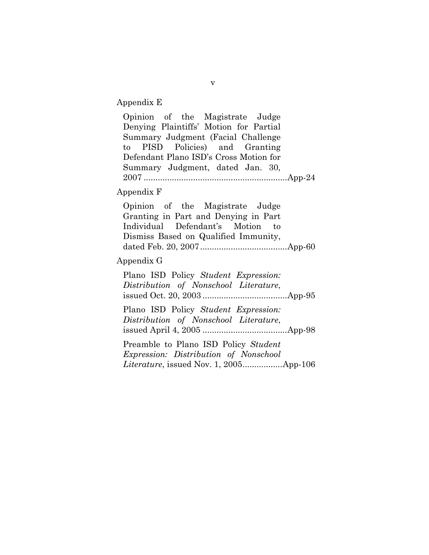Appendix E

Opinion of the Magistrate Judge Denying Plaintiffs' Motion for Partial Summary Judgment (Facial Challenge to PISD Policies) and Granting Defendant Plano ISD's Cross Motion for Summary Judgment, dated Jan. 30, 2007 ............................................................. App-24 Appendix F Opinion of the Magistrate Judge Granting in Part and Denying in Part Individual Defendant's Motion to Dismiss Based on Qualified Immunity, dated Feb. 20, 2007 ..................................... App-60 Appendix G Plano ISD Policy *Student Expression: Distribution of Nonschool Literature*, issued Oct. 20, 2003 .................................... App-95 Plano ISD Policy *Student Expression: Distribution of Nonschool Literature*, issued April 4, 2005 .................................... App-98 Preamble to Plano ISD Policy *Student Expression: Distribution of Nonschool Literature*, issued Nov. 1, 2005 ................. App-106

v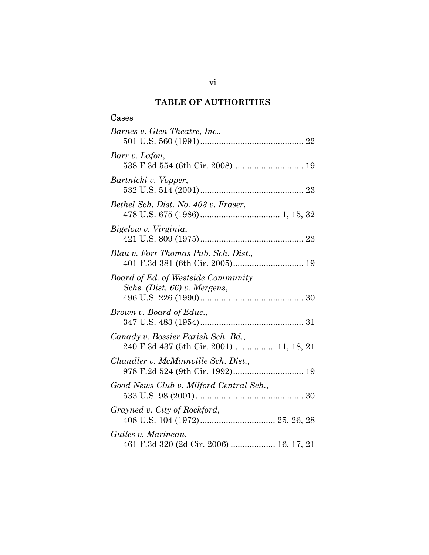# **TABLE OF AUTHORITIES**

# Cases

| Barnes v. Glen Theatre, Inc.,                                                 |
|-------------------------------------------------------------------------------|
| Barr v. Lafon,<br>538 F.3d 554 (6th Cir. 2008) 19                             |
| Bartnicki v. Vopper,                                                          |
| Bethel Sch. Dist. No. 403 v. Fraser,                                          |
| Bigelow v. Virginia,                                                          |
| Blau v. Fort Thomas Pub. Sch. Dist.,                                          |
| Board of Ed. of Westside Community<br>Schs. (Dist. 66) v. Mergens,            |
| Brown v. Board of Educ.,                                                      |
| Canady v. Bossier Parish Sch. Bd.,<br>240 F.3d 437 (5th Cir. 2001) 11, 18, 21 |
| Chandler v. McMinnville Sch. Dist.,                                           |
| Good News Club v. Milford Central Sch.,                                       |
| Grayned v. City of Rockford,                                                  |
| Guiles v. Marineau,<br>461 F.3d 320 (2d Cir. 2006)  16, 17, 21                |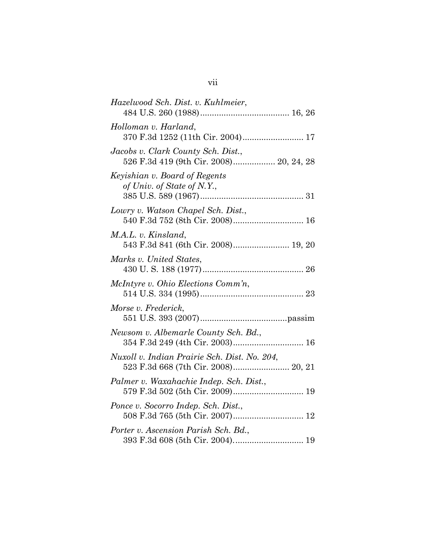| Hazelwood Sch. Dist. v. Kuhlmeier,                                            |
|-------------------------------------------------------------------------------|
| Holloman v. Harland,                                                          |
| Jacobs v. Clark County Sch. Dist.,<br>526 F.3d 419 (9th Cir. 2008) 20, 24, 28 |
| Keyishian v. Board of Regents<br>of Univ. of State of N.Y.,                   |
| Lowry v. Watson Chapel Sch. Dist.,<br>540 F.3d 752 (8th Cir. 2008) 16         |
| M.A.L. v. Kinsland,<br>543 F.3d 841 (6th Cir. 2008) 19, 20                    |
| Marks v. United States,                                                       |
| McIntyre v. Ohio Elections Comm'n,                                            |
| Morse v. Frederick,                                                           |
| Newsom v. Albemarle County Sch. Bd.,<br>354 F.3d 249 (4th Cir. 2003) 16       |
| Nuxoll v. Indian Prairie Sch. Dist. No. 204,                                  |
| Palmer v. Waxahachie Indep. Sch. Dist.,                                       |
| Ponce v. Socorro Indep. Sch. Dist.,                                           |
| Porter v. Ascension Parish Sch. Bd.,                                          |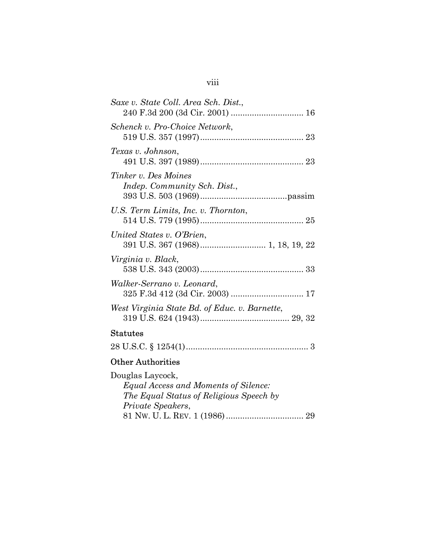| Saxe v. State Coll. Area Sch. Dist.,                 |
|------------------------------------------------------|
| Schenck v. Pro-Choice Network,                       |
| Texas v. Johnson,                                    |
| Tinker v. Des Moines<br>Indep. Community Sch. Dist., |
| U.S. Term Limits, Inc. v. Thornton,                  |
| United States v. O'Brien,                            |
| Virginia v. Black,                                   |
| Walker-Serrano v. Leonard,                           |
| West Virginia State Bd. of Educ. v. Barnette,        |
| <b>Statutes</b>                                      |
|                                                      |
| <b>Other Authorities</b>                             |

# Other Authorities

| Douglas Laycock,                        |  |
|-----------------------------------------|--|
| Equal Access and Moments of Silence:    |  |
| The Equal Status of Religious Speech by |  |
| Private Speakers,                       |  |
|                                         |  |
|                                         |  |

# viii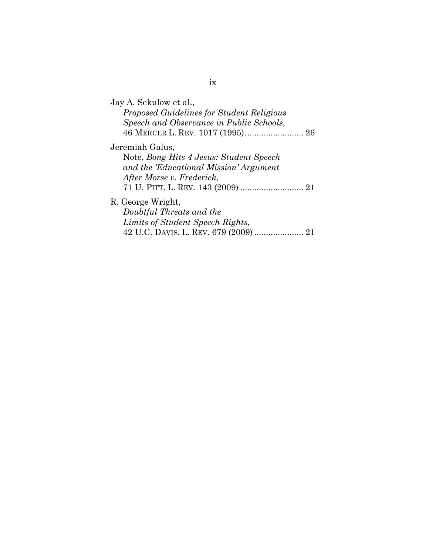| Jay A. Sekulow et al.,<br>Proposed Guidelines for Student Religious<br>Speech and Observance in Public Schools,<br>46 MERCER L. REV. 1017 (1995) 26 |
|-----------------------------------------------------------------------------------------------------------------------------------------------------|
| Jeremiah Galus,                                                                                                                                     |
| Note, Bong Hits 4 Jesus: Student Speech                                                                                                             |
| and the 'Educational Mission' Argument                                                                                                              |
| After Morse v. Frederick,                                                                                                                           |
|                                                                                                                                                     |
| R. George Wright,                                                                                                                                   |
| Doubtful Threats and the                                                                                                                            |
| Limits of Student Speech Rights,                                                                                                                    |
| 42 U.C. DAVIS. L. REV. 679 (2009)                                                                                                                   |

ix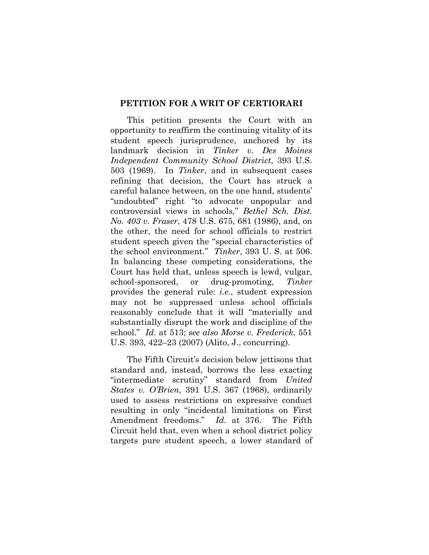#### **PETITION FOR A WRIT OF CERTIORARI**

This petition presents the Court with an opportunity to reaffirm the continuing vitality of its student speech jurisprudence, anchored by its landmark decision in *Tinker v. Des Moines Independent Community School District*, 393 U.S. 503 (1969). In *Tinker*, and in subsequent cases refining that decision, the Court has struck a careful balance between, on the one hand, students' "undoubted" right "to advocate unpopular and controversial views in schools," *Bethel Sch. Dist. No. 403 v. Fraser*, 478 U.S. 675, 681 (1986), and, on the other, the need for school officials to restrict student speech given the "special characteristics of the school environment." *Tinker*, 393 U. S. at 506. In balancing these competing considerations, the Court has held that, unless speech is lewd, vulgar, school-sponsored, or drug-promoting, *Tinker*  provides the general rule: *i.e.*, student expression may not be suppressed unless school officials reasonably conclude that it will "materially and substantially disrupt the work and discipline of the school." *Id*. at 513; *see also Morse v. Frederick*, 551 U.S. 393, 422–23 (2007) (Alito, J., concurring).

The Fifth Circuit's decision below jettisons that standard and, instead, borrows the less exacting "intermediate scrutiny" standard from *United States v. O'Brien*, 391 U.S. 367 (1968), ordinarily used to assess restrictions on expressive conduct resulting in only "incidental limitations on First Amendment freedoms." *Id*. at 376. The Fifth Circuit held that, even when a school district policy targets pure student speech, a lower standard of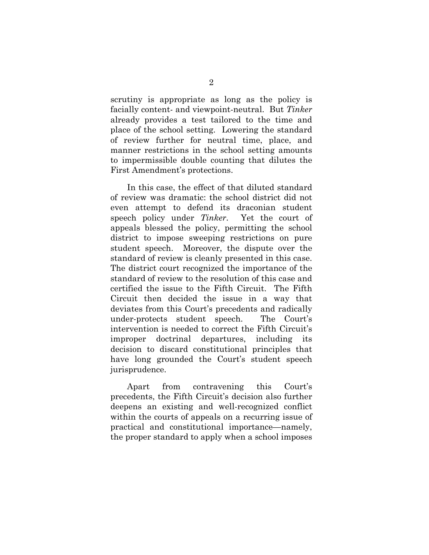scrutiny is appropriate as long as the policy is facially content- and viewpoint-neutral. But *Tinker*  already provides a test tailored to the time and place of the school setting. Lowering the standard of review further for neutral time, place, and manner restrictions in the school setting amounts to impermissible double counting that dilutes the First Amendment's protections.

In this case, the effect of that diluted standard of review was dramatic: the school district did not even attempt to defend its draconian student speech policy under *Tinker*. Yet the court of appeals blessed the policy, permitting the school district to impose sweeping restrictions on pure student speech. Moreover, the dispute over the standard of review is cleanly presented in this case. The district court recognized the importance of the standard of review to the resolution of this case and certified the issue to the Fifth Circuit. The Fifth Circuit then decided the issue in a way that deviates from this Court's precedents and radically under-protects student speech. The Court's intervention is needed to correct the Fifth Circuit's improper doctrinal departures, including its decision to discard constitutional principles that have long grounded the Court's student speech jurisprudence.

Apart from contravening this Court's precedents, the Fifth Circuit's decision also further deepens an existing and well-recognized conflict within the courts of appeals on a recurring issue of practical and constitutional importance—namely, the proper standard to apply when a school imposes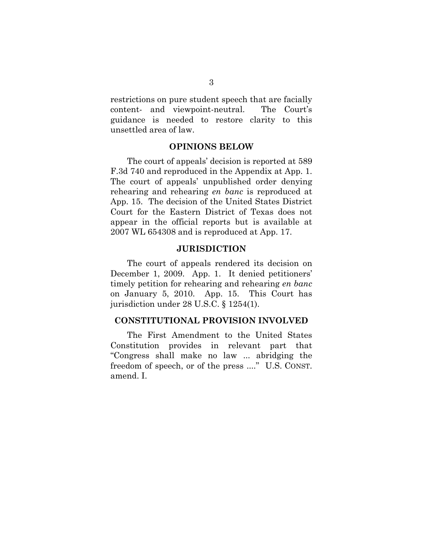restrictions on pure student speech that are facially content- and viewpoint-neutral. The Court's guidance is needed to restore clarity to this unsettled area of law.

#### **OPINIONS BELOW**

The court of appeals' decision is reported at 589 F.3d 740 and reproduced in the Appendix at App. 1. The court of appeals' unpublished order denying rehearing and rehearing *en banc* is reproduced at App. 15. The decision of the United States District Court for the Eastern District of Texas does not appear in the official reports but is available at 2007 WL 654308 and is reproduced at App. 17.

## **JURISDICTION**

The court of appeals rendered its decision on December 1, 2009. App. 1. It denied petitioners' timely petition for rehearing and rehearing *en banc*  on January 5, 2010. App. 15. This Court has jurisdiction under 28 U.S.C. § 1254(1).

## **CONSTITUTIONAL PROVISION INVOLVED**

The First Amendment to the United States Constitution provides in relevant part that "Congress shall make no law ... abridging the freedom of speech, or of the press ...." U.S. CONST. amend. I.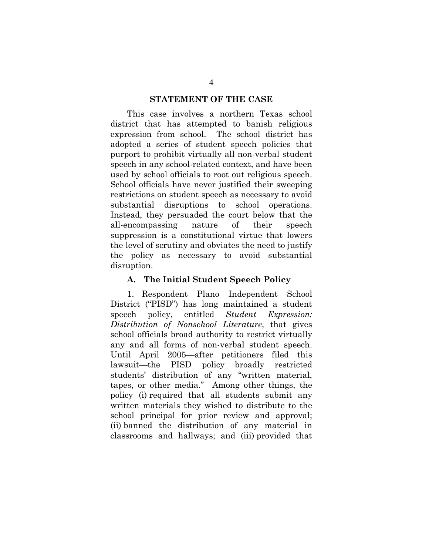#### **STATEMENT OF THE CASE**

This case involves a northern Texas school district that has attempted to banish religious expression from school. The school district has adopted a series of student speech policies that purport to prohibit virtually all non-verbal student speech in any school-related context, and have been used by school officials to root out religious speech. School officials have never justified their sweeping restrictions on student speech as necessary to avoid substantial disruptions to school operations. Instead, they persuaded the court below that the all-encompassing nature of their speech suppression is a constitutional virtue that lowers the level of scrutiny and obviates the need to justify the policy as necessary to avoid substantial disruption.

#### **A. The Initial Student Speech Policy**

1. Respondent Plano Independent School District ("PISD") has long maintained a student speech policy, entitled *Student Expression: Distribution of Nonschool Literature*, that gives school officials broad authority to restrict virtually any and all forms of non-verbal student speech. Until April 2005—after petitioners filed this lawsuit—the PISD policy broadly restricted students' distribution of any "written material, tapes, or other media." Among other things, the policy (i) required that all students submit any written materials they wished to distribute to the school principal for prior review and approval; (ii) banned the distribution of any material in classrooms and hallways; and (iii) provided that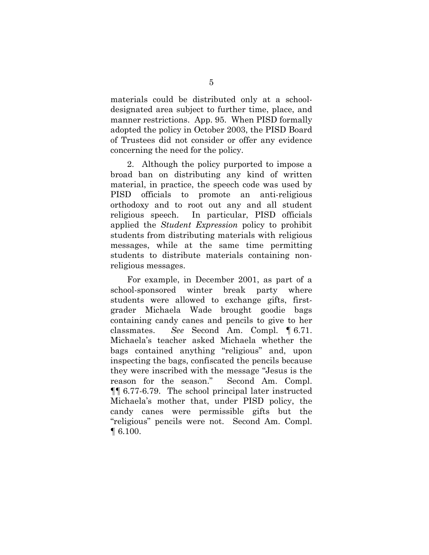materials could be distributed only at a schooldesignated area subject to further time, place, and manner restrictions. App. 95. When PISD formally adopted the policy in October 2003, the PISD Board of Trustees did not consider or offer any evidence concerning the need for the policy.

2. Although the policy purported to impose a broad ban on distributing any kind of written material, in practice, the speech code was used by PISD officials to promote an anti-religious orthodoxy and to root out any and all student religious speech. In particular, PISD officials applied the *Student Expression* policy to prohibit students from distributing materials with religious messages, while at the same time permitting students to distribute materials containing nonreligious messages.

For example, in December 2001, as part of a school-sponsored winter break party where students were allowed to exchange gifts, firstgrader Michaela Wade brought goodie bags containing candy canes and pencils to give to her classmates. *See* Second Am. Compl. ¶ 6.71. Michaela's teacher asked Michaela whether the bags contained anything "religious" and, upon inspecting the bags, confiscated the pencils because they were inscribed with the message "Jesus is the reason for the season." Second Am. Compl. ¶¶ 6.77-6.79. The school principal later instructed Michaela's mother that, under PISD policy, the candy canes were permissible gifts but the "religious" pencils were not. Second Am. Compl. ¶ 6.100.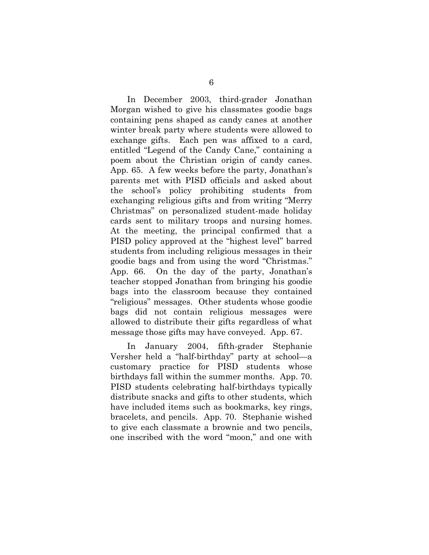In December 2003, third-grader Jonathan Morgan wished to give his classmates goodie bags containing pens shaped as candy canes at another winter break party where students were allowed to exchange gifts. Each pen was affixed to a card, entitled "Legend of the Candy Cane," containing a poem about the Christian origin of candy canes. App. 65. A few weeks before the party, Jonathan's parents met with PISD officials and asked about the school's policy prohibiting students from exchanging religious gifts and from writing "Merry Christmas" on personalized student-made holiday cards sent to military troops and nursing homes. At the meeting, the principal confirmed that a PISD policy approved at the "highest level" barred students from including religious messages in their goodie bags and from using the word "Christmas." App. 66. On the day of the party, Jonathan's teacher stopped Jonathan from bringing his goodie bags into the classroom because they contained "religious" messages. Other students whose goodie bags did not contain religious messages were allowed to distribute their gifts regardless of what message those gifts may have conveyed. App. 67.

In January 2004, fifth-grader Stephanie Versher held a "half-birthday" party at school—a customary practice for PISD students whose birthdays fall within the summer months. App. 70. PISD students celebrating half-birthdays typically distribute snacks and gifts to other students, which have included items such as bookmarks, key rings, bracelets, and pencils. App. 70. Stephanie wished to give each classmate a brownie and two pencils, one inscribed with the word "moon," and one with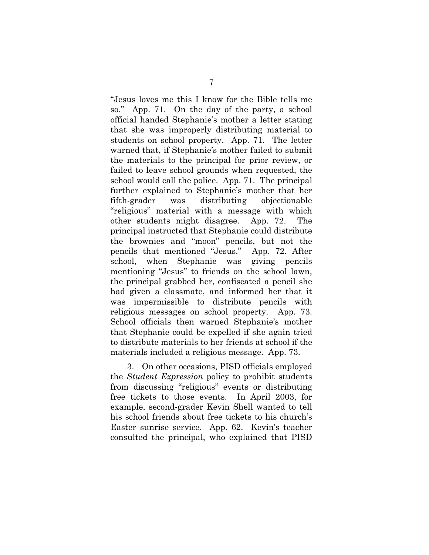"Jesus loves me this I know for the Bible tells me so." App. 71. On the day of the party, a school official handed Stephanie's mother a letter stating that she was improperly distributing material to students on school property. App. 71. The letter warned that, if Stephanie's mother failed to submit the materials to the principal for prior review, or failed to leave school grounds when requested, the school would call the police. App. 71. The principal further explained to Stephanie's mother that her fifth-grader was distributing objectionable "religious" material with a message with which other students might disagree. App. 72. The principal instructed that Stephanie could distribute the brownies and "moon" pencils, but not the pencils that mentioned "Jesus." App. 72. After school, when Stephanie was giving pencils mentioning "Jesus" to friends on the school lawn, the principal grabbed her, confiscated a pencil she had given a classmate, and informed her that it was impermissible to distribute pencils with religious messages on school property. App. 73. School officials then warned Stephanie's mother that Stephanie could be expelled if she again tried to distribute materials to her friends at school if the materials included a religious message. App. 73.

3. On other occasions, PISD officials employed the *Student Expression* policy to prohibit students from discussing "religious" events or distributing free tickets to those events. In April 2003, for example, second-grader Kevin Shell wanted to tell his school friends about free tickets to his church's Easter sunrise service. App. 62. Kevin's teacher consulted the principal, who explained that PISD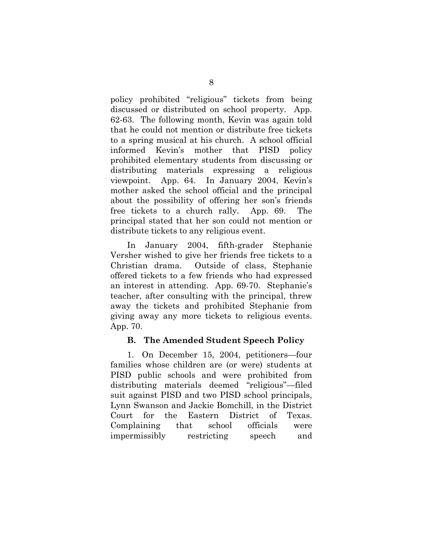policy prohibited "religious" tickets from being discussed or distributed on school property. App. 62-63. The following month, Kevin was again told that he could not mention or distribute free tickets to a spring musical at his church. A school official informed Kevin's mother that PISD policy prohibited elementary students from discussing or distributing materials expressing a religious viewpoint. App. 64. In January 2004, Kevin's mother asked the school official and the principal about the possibility of offering her son's friends free tickets to a church rally. App. 69. The principal stated that her son could not mention or distribute tickets to any religious event.

In January 2004, fifth-grader Stephanie Versher wished to give her friends free tickets to a Christian drama. Outside of class, Stephanie offered tickets to a few friends who had expressed an interest in attending. App. 69-70. Stephanie's teacher, after consulting with the principal, threw away the tickets and prohibited Stephanie from giving away any more tickets to religious events. App. 70.

# **B. The Amended Student Speech Policy**

1. On December 15, 2004, petitioners—four families whose children are (or were) students at PISD public schools and were prohibited from distributing materials deemed "religious"—filed suit against PISD and two PISD school principals, Lynn Swanson and Jackie Bomchill, in the District Court for the Eastern District of Texas. Complaining that school officials were impermissibly restricting speech and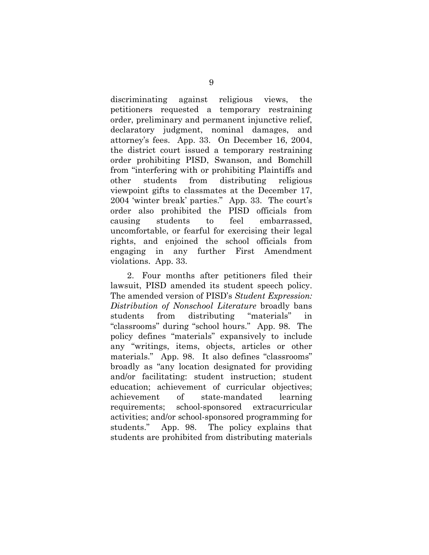discriminating against religious views, the petitioners requested a temporary restraining order, preliminary and permanent injunctive relief, declaratory judgment, nominal damages, and attorney's fees. App. 33. On December 16, 2004, the district court issued a temporary restraining order prohibiting PISD, Swanson, and Bomchill from "interfering with or prohibiting Plaintiffs and other students from distributing religious viewpoint gifts to classmates at the December 17, 2004 'winter break' parties." App. 33. The court's order also prohibited the PISD officials from causing students to feel embarrassed, uncomfortable, or fearful for exercising their legal rights, and enjoined the school officials from engaging in any further First Amendment violations. App. 33.

2. Four months after petitioners filed their lawsuit, PISD amended its student speech policy. The amended version of PISD's *Student Expression: Distribution of Nonschool Literature* broadly bans students from distributing "materials" in "classrooms" during "school hours." App. 98. The policy defines "materials" expansively to include any "writings, items, objects, articles or other materials." App. 98. It also defines "classrooms" broadly as "any location designated for providing and/or facilitating: student instruction; student education; achievement of curricular objectives; achievement of state-mandated learning requirements; school-sponsored extracurricular activities; and/or school-sponsored programming for students." App. 98. The policy explains that students are prohibited from distributing materials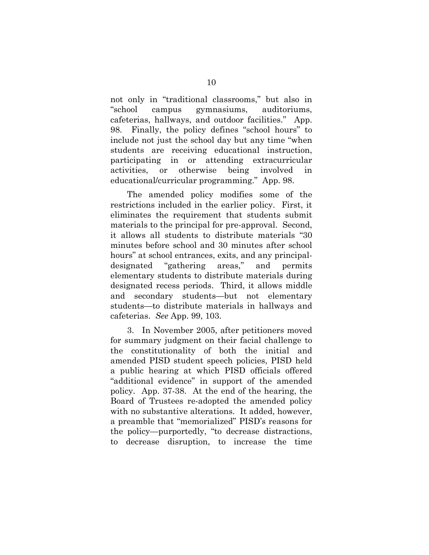not only in "traditional classrooms," but also in "school campus gymnasiums, auditoriums, cafeterias, hallways, and outdoor facilities." App. 98. Finally, the policy defines "school hours" to include not just the school day but any time "when students are receiving educational instruction, participating in or attending extracurricular activities, or otherwise being involved in educational/curricular programming." App. 98.

The amended policy modifies some of the restrictions included in the earlier policy. First, it eliminates the requirement that students submit materials to the principal for pre-approval. Second, it allows all students to distribute materials "30 minutes before school and 30 minutes after school hours" at school entrances, exits, and any principaldesignated "gathering areas," and permits elementary students to distribute materials during designated recess periods. Third, it allows middle and secondary students—but not elementary students—to distribute materials in hallways and cafeterias. *See* App. 99, 103.

3. In November 2005, after petitioners moved for summary judgment on their facial challenge to the constitutionality of both the initial and amended PISD student speech policies, PISD held a public hearing at which PISD officials offered "additional evidence" in support of the amended policy. App. 37-38. At the end of the hearing, the Board of Trustees re-adopted the amended policy with no substantive alterations. It added, however, a preamble that "memorialized" PISD's reasons for the policy—purportedly, "to decrease distractions, to decrease disruption, to increase the time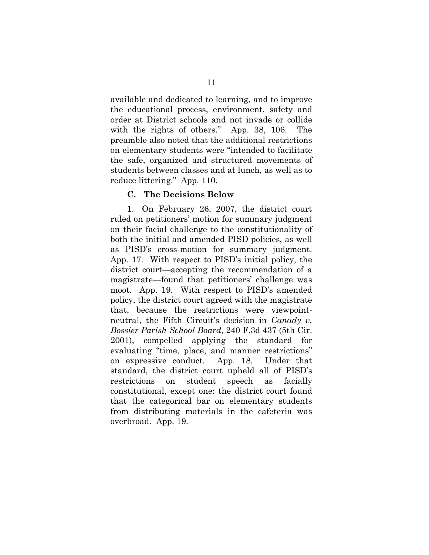available and dedicated to learning, and to improve the educational process, environment, safety and order at District schools and not invade or collide with the rights of others." App. 38, 106. The preamble also noted that the additional restrictions on elementary students were "intended to facilitate the safe, organized and structured movements of students between classes and at lunch, as well as to reduce littering." App. 110.

#### **C. The Decisions Below**

1. On February 26, 2007, the district court ruled on petitioners' motion for summary judgment on their facial challenge to the constitutionality of both the initial and amended PISD policies, as well as PISD's cross-motion for summary judgment. App. 17. With respect to PISD's initial policy, the district court—accepting the recommendation of a magistrate—found that petitioners' challenge was moot. App. 19. With respect to PISD's amended policy, the district court agreed with the magistrate that, because the restrictions were viewpointneutral, the Fifth Circuit's decision in *Canady v. Bossier Parish School Board*, 240 F.3d 437 (5th Cir. 2001), compelled applying the standard for evaluating "time, place, and manner restrictions" on expressive conduct. App. 18. Under that standard, the district court upheld all of PISD's restrictions on student speech as facially constitutional, except one: the district court found that the categorical bar on elementary students from distributing materials in the cafeteria was overbroad. App. 19.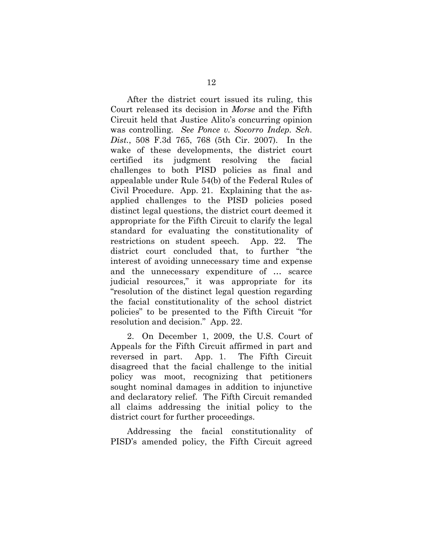After the district court issued its ruling, this Court released its decision in *Morse* and the Fifth Circuit held that Justice Alito's concurring opinion was controlling. *See Ponce v. Socorro Indep. Sch. Dist.*, 508 F.3d 765, 768 (5th Cir. 2007). In the wake of these developments, the district court certified its judgment resolving the facial challenges to both PISD policies as final and appealable under Rule 54(b) of the Federal Rules of Civil Procedure. App. 21. Explaining that the asapplied challenges to the PISD policies posed distinct legal questions, the district court deemed it appropriate for the Fifth Circuit to clarify the legal standard for evaluating the constitutionality of restrictions on student speech. App. 22. The district court concluded that, to further "the interest of avoiding unnecessary time and expense and the unnecessary expenditure of … scarce judicial resources," it was appropriate for its "resolution of the distinct legal question regarding the facial constitutionality of the school district policies" to be presented to the Fifth Circuit "for resolution and decision." App. 22.

2. On December 1, 2009, the U.S. Court of Appeals for the Fifth Circuit affirmed in part and reversed in part. App. 1. The Fifth Circuit disagreed that the facial challenge to the initial policy was moot, recognizing that petitioners sought nominal damages in addition to injunctive and declaratory relief. The Fifth Circuit remanded all claims addressing the initial policy to the district court for further proceedings.

Addressing the facial constitutionality of PISD's amended policy, the Fifth Circuit agreed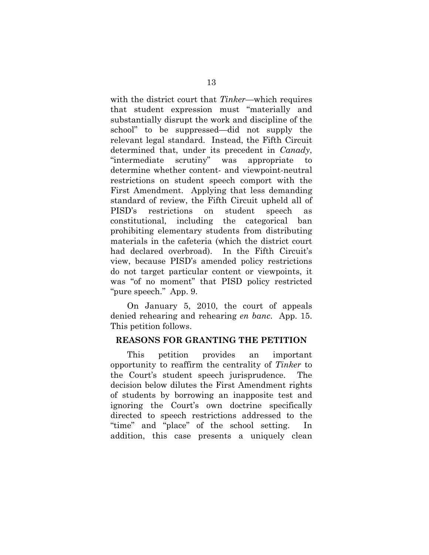with the district court that *Tinker—*which requires that student expression must "materially and substantially disrupt the work and discipline of the school" to be suppressed—did not supply the relevant legal standard. Instead, the Fifth Circuit determined that, under its precedent in *Canady*, "intermediate scrutiny" was appropriate to determine whether content- and viewpoint-neutral restrictions on student speech comport with the First Amendment. Applying that less demanding standard of review, the Fifth Circuit upheld all of PISD's restrictions on student speech as constitutional, including the categorical ban prohibiting elementary students from distributing materials in the cafeteria (which the district court had declared overbroad). In the Fifth Circuit's view, because PISD's amended policy restrictions do not target particular content or viewpoints, it was "of no moment" that PISD policy restricted "pure speech." App. 9.

On January 5, 2010, the court of appeals denied rehearing and rehearing *en banc*. App. 15. This petition follows.

#### **REASONS FOR GRANTING THE PETITION**

This petition provides an important opportunity to reaffirm the centrality of *Tinker* to the Court's student speech jurisprudence. The decision below dilutes the First Amendment rights of students by borrowing an inapposite test and ignoring the Court's own doctrine specifically directed to speech restrictions addressed to the "time" and "place" of the school setting. In addition, this case presents a uniquely clean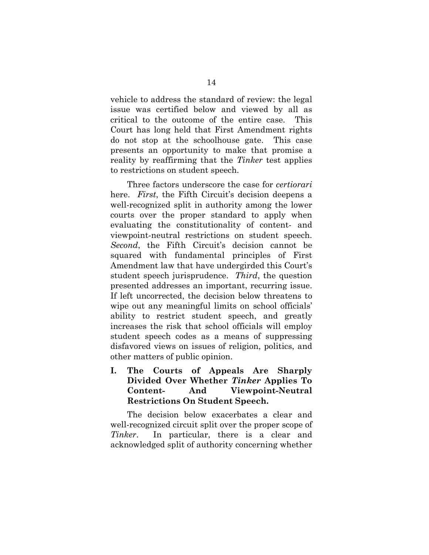vehicle to address the standard of review: the legal issue was certified below and viewed by all as critical to the outcome of the entire case. This Court has long held that First Amendment rights do not stop at the schoolhouse gate. This case presents an opportunity to make that promise a reality by reaffirming that the *Tinker* test applies to restrictions on student speech.

Three factors underscore the case for *certiorari* here. *First*, the Fifth Circuit's decision deepens a well-recognized split in authority among the lower courts over the proper standard to apply when evaluating the constitutionality of content- and viewpoint-neutral restrictions on student speech. *Second*, the Fifth Circuit's decision cannot be squared with fundamental principles of First Amendment law that have undergirded this Court's student speech jurisprudence. *Third*, the question presented addresses an important, recurring issue. If left uncorrected, the decision below threatens to wipe out any meaningful limits on school officials' ability to restrict student speech, and greatly increases the risk that school officials will employ student speech codes as a means of suppressing disfavored views on issues of religion, politics, and other matters of public opinion.

**I. The Courts of Appeals Are Sharply Divided Over Whether** *Tinker* **Applies To Content- And Viewpoint-Neutral Restrictions On Student Speech.** 

The decision below exacerbates a clear and well-recognized circuit split over the proper scope of *Tinker*. In particular, there is a clear and acknowledged split of authority concerning whether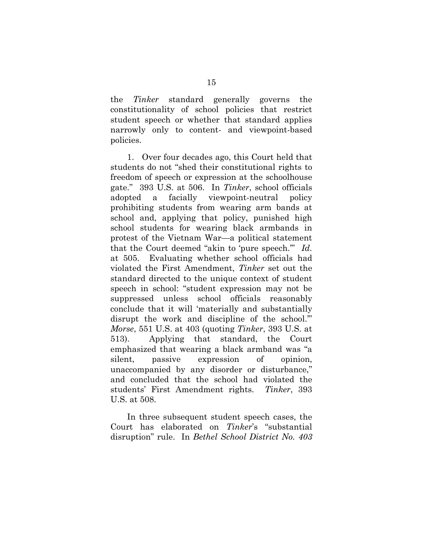the *Tinker* standard generally governs the constitutionality of school policies that restrict student speech or whether that standard applies narrowly only to content- and viewpoint-based policies.

1. Over four decades ago, this Court held that students do not "shed their constitutional rights to freedom of speech or expression at the schoolhouse gate." 393 U.S. at 506. In *Tinker*, school officials adopted a facially viewpoint-neutral policy prohibiting students from wearing arm bands at school and, applying that policy, punished high school students for wearing black armbands in protest of the Vietnam War—a political statement that the Court deemed "akin to 'pure speech.'" *Id.* at 505. Evaluating whether school officials had violated the First Amendment, *Tinker* set out the standard directed to the unique context of student speech in school: "student expression may not be suppressed unless school officials reasonably conclude that it will 'materially and substantially disrupt the work and discipline of the school.'" *Morse*, 551 U.S. at 403 (quoting *Tinker*, 393 U.S. at 513). Applying that standard, the Court emphasized that wearing a black armband was "a silent, passive expression of opinion, unaccompanied by any disorder or disturbance," and concluded that the school had violated the students' First Amendment rights. *Tinker*, 393 U.S. at 508.

In three subsequent student speech cases, the Court has elaborated on *Tinker*'s "substantial disruption" rule. In *Bethel School District No. 403*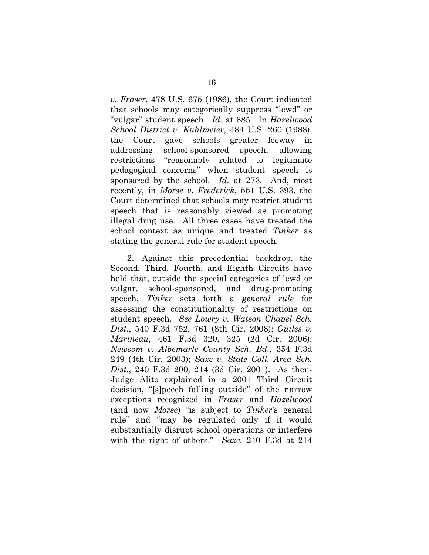*v. Fraser*, 478 U.S. 675 (1986), the Court indicated that schools may categorically suppress "lewd" or "vulgar" student speech. *Id.* at 685. In *Hazelwood School District v. Kuhlmeier*, 484 U.S. 260 (1988), the Court gave schools greater leeway in addressing school-sponsored speech, allowing restrictions "reasonably related to legitimate pedagogical concerns" when student speech is sponsored by the school. *Id.* at 273. And, most recently, in *Morse v. Frederick*, 551 U.S. 393, the Court determined that schools may restrict student speech that is reasonably viewed as promoting illegal drug use. All three cases have treated the school context as unique and treated *Tinker* as stating the general rule for student speech.

2. Against this precedential backdrop, the Second, Third, Fourth, and Eighth Circuits have held that, outside the special categories of lewd or vulgar, school-sponsored, and drug-promoting speech, *Tinker* sets forth a *general rule* for assessing the constitutionality of restrictions on student speech. *See Lowry v. Watson Chapel Sch. Dist.*, 540 F.3d 752, 761 (8th Cir. 2008); *Guiles v. Marineau*, 461 F.3d 320, 325 (2d Cir. 2006); *Newsom v. Albemarle County Sch. Bd.*, 354 F.3d 249 (4th Cir. 2003); *Saxe v. State Coll. Area Sch. Dist.*, 240 F.3d 200, 214 (3d Cir. 2001). As then-Judge Alito explained in a 2001 Third Circuit decision, "[s]peech falling outside" of the narrow exceptions recognized in *Fraser* and *Hazelwood* (and now *Morse*) "is subject to *Tinker*'s general rule" and "may be regulated only if it would substantially disrupt school operations or interfere with the right of others." *Saxe*, 240 F.3d at 214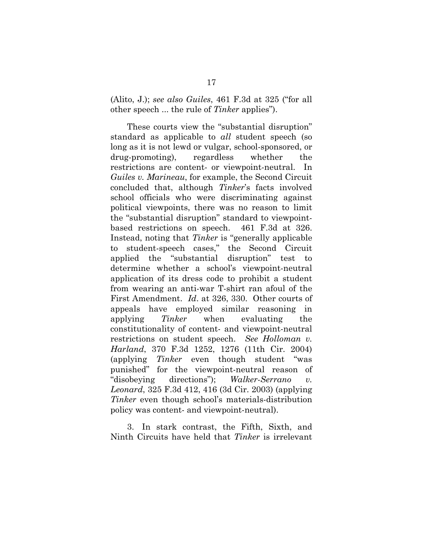(Alito, J.); *see also Guiles*, 461 F.3d at 325 ("for all other speech ... the rule of *Tinker* applies").

These courts view the "substantial disruption" standard as applicable to *all* student speech (so long as it is not lewd or vulgar, school-sponsored, or drug-promoting), regardless whether the restrictions are content- or viewpoint-neutral. In *Guiles v. Marineau*, for example, the Second Circuit concluded that, although *Tinker*'s facts involved school officials who were discriminating against political viewpoints, there was no reason to limit the "substantial disruption" standard to viewpointbased restrictions on speech. 461 F.3d at 326. Instead, noting that *Tinker* is "generally applicable to student-speech cases," the Second Circuit applied the "substantial disruption" test to determine whether a school's viewpoint-neutral application of its dress code to prohibit a student from wearing an anti-war T-shirt ran afoul of the First Amendment. *Id*. at 326, 330. Other courts of appeals have employed similar reasoning in applying *Tinker* when evaluating the constitutionality of content- and viewpoint-neutral restrictions on student speech. *See Holloman v. Harland*, 370 F.3d 1252, 1276 (11th Cir. 2004) (applying *Tinker* even though student "was punished" for the viewpoint-neutral reason of "disobeying directions"); *Walker-Serrano v. Leonard*, 325 F.3d 412, 416 (3d Cir. 2003) (applying *Tinker* even though school's materials-distribution policy was content- and viewpoint-neutral).

3. In stark contrast, the Fifth, Sixth, and Ninth Circuits have held that *Tinker* is irrelevant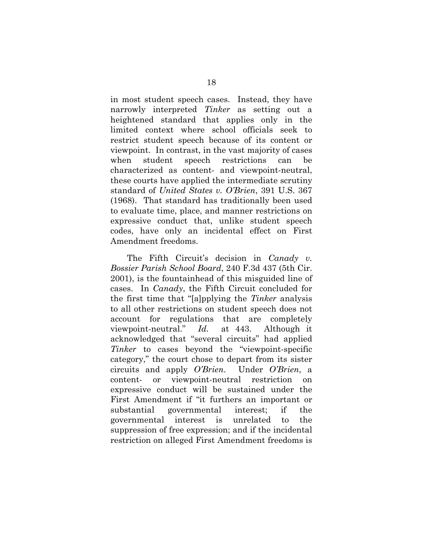in most student speech cases. Instead, they have narrowly interpreted *Tinker* as setting out a heightened standard that applies only in the limited context where school officials seek to restrict student speech because of its content or viewpoint. In contrast, in the vast majority of cases when student speech restrictions can be characterized as content- and viewpoint-neutral, these courts have applied the intermediate scrutiny standard of *United States v. O'Brien*, 391 U.S. 367 (1968). That standard has traditionally been used to evaluate time, place, and manner restrictions on expressive conduct that, unlike student speech codes, have only an incidental effect on First Amendment freedoms.

The Fifth Circuit's decision in *Canady v. Bossier Parish School Board*, 240 F.3d 437 (5th Cir. 2001), is the fountainhead of this misguided line of cases. In *Canady*, the Fifth Circuit concluded for the first time that "[a]pplying the *Tinker* analysis to all other restrictions on student speech does not account for regulations that are completely viewpoint-neutral." *Id.* at 443. Although it acknowledged that "several circuits" had applied *Tinker* to cases beyond the "viewpoint-specific category," the court chose to depart from its sister circuits and apply *O'Brien*. Under *O'Brien*, a content- or viewpoint-neutral restriction on expressive conduct will be sustained under the First Amendment if "it furthers an important or substantial governmental interest; if the governmental interest is unrelated to the suppression of free expression; and if the incidental restriction on alleged First Amendment freedoms is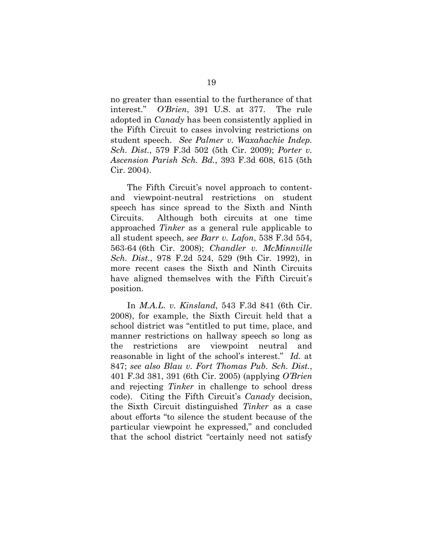no greater than essential to the furtherance of that interest." *O'Brien*, 391 U.S. at 377. The rule adopted in *Canady* has been consistently applied in the Fifth Circuit to cases involving restrictions on student speech. *See Palmer v. Waxahachie Indep. Sch. Dist.*, 579 F.3d 502 (5th Cir. 2009); *Porter v. Ascension Parish Sch. Bd.*, 393 F.3d 608, 615 (5th Cir. 2004).

The Fifth Circuit's novel approach to contentand viewpoint-neutral restrictions on student speech has since spread to the Sixth and Ninth Circuits. Although both circuits at one time approached *Tinker* as a general rule applicable to all student speech, *see Barr v. Lafon*, 538 F.3d 554, 563-64 (6th Cir. 2008); *Chandler v. McMinnville Sch. Dist.*, 978 F.2d 524, 529 (9th Cir. 1992), in more recent cases the Sixth and Ninth Circuits have aligned themselves with the Fifth Circuit's position.

In *M.A.L. v. Kinsland*, 543 F.3d 841 (6th Cir. 2008), for example, the Sixth Circuit held that a school district was "entitled to put time, place, and manner restrictions on hallway speech so long as the restrictions are viewpoint neutral and reasonable in light of the school's interest." *Id.* at 847; *see also Blau v. Fort Thomas Pub. Sch. Dist.*, 401 F.3d 381, 391 (6th Cir. 2005) (applying *O'Brien* and rejecting *Tinker* in challenge to school dress code). Citing the Fifth Circuit's *Canady* decision, the Sixth Circuit distinguished *Tinker* as a case about efforts "to silence the student because of the particular viewpoint he expressed," and concluded that the school district "certainly need not satisfy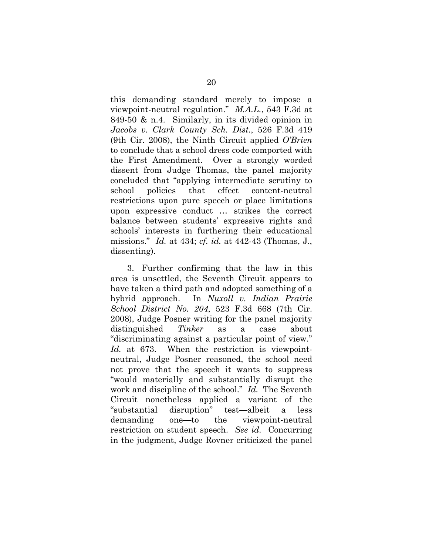this demanding standard merely to impose a viewpoint-neutral regulation." *M.A.L.*, 543 F.3d at 849-50 & n.4. Similarly, in its divided opinion in *Jacobs v. Clark County Sch. Dist.*, 526 F.3d 419 (9th Cir. 2008), the Ninth Circuit applied *O'Brien*  to conclude that a school dress code comported with the First Amendment. Over a strongly worded dissent from Judge Thomas, the panel majority concluded that "applying intermediate scrutiny to school policies that effect content-neutral restrictions upon pure speech or place limitations upon expressive conduct … strikes the correct balance between students' expressive rights and schools' interests in furthering their educational missions." *Id.* at 434; *cf. id.* at 442-43 (Thomas, J., dissenting).

3. Further confirming that the law in this area is unsettled, the Seventh Circuit appears to have taken a third path and adopted something of a hybrid approach. In *Nuxoll v. Indian Prairie School District No. 204*, 523 F.3d 668 (7th Cir. 2008), Judge Posner writing for the panel majority distinguished *Tinker* as a case about "discriminating against a particular point of view." *Id.* at 673. When the restriction is viewpointneutral, Judge Posner reasoned, the school need not prove that the speech it wants to suppress "would materially and substantially disrupt the work and discipline of the school." *Id.* The Seventh Circuit nonetheless applied a variant of the "substantial disruption" test—albeit a less demanding one—to the viewpoint-neutral restriction on student speech. *See id.* Concurring in the judgment, Judge Rovner criticized the panel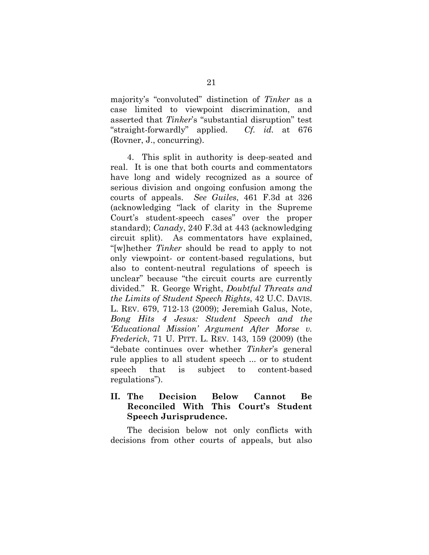majority's "convoluted" distinction of *Tinker* as a case limited to viewpoint discrimination, and asserted that *Tinker*'s "substantial disruption" test "straight-forwardly" applied. *Cf. id.* at 676 (Rovner, J., concurring).

4. This split in authority is deep-seated and real. It is one that both courts and commentators have long and widely recognized as a source of serious division and ongoing confusion among the courts of appeals. *See Guiles*, 461 F.3d at 326 (acknowledging "lack of clarity in the Supreme Court's student-speech cases" over the proper standard); *Canady*, 240 F.3d at 443 (acknowledging circuit split). As commentators have explained, "[w]hether *Tinker* should be read to apply to not only viewpoint- or content-based regulations, but also to content-neutral regulations of speech is unclear" because "the circuit courts are currently divided." R. George Wright, *Doubtful Threats and the Limits of Student Speech Rights*, 42 U.C. DAVIS. L. REV. 679, 712-13 (2009); Jeremiah Galus, Note, *Bong Hits 4 Jesus: Student Speech and the 'Educational Mission' Argument After Morse v. Frederick*, 71 U. PITT. L. REV. 143, 159 (2009) (the "debate continues over whether *Tinker*'s general rule applies to all student speech ... or to student speech that is subject to content-based regulations").

# **II. The Decision Below Cannot Be Reconciled With This Court's Student Speech Jurisprudence.**

The decision below not only conflicts with decisions from other courts of appeals, but also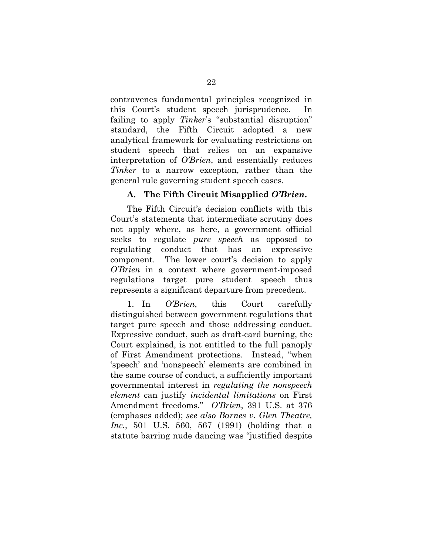contravenes fundamental principles recognized in this Court's student speech jurisprudence. In failing to apply *Tinker*'s "substantial disruption" standard, the Fifth Circuit adopted a new analytical framework for evaluating restrictions on student speech that relies on an expansive interpretation of *O'Brien*, and essentially reduces *Tinker* to a narrow exception, rather than the general rule governing student speech cases.

# **A. The Fifth Circuit Misapplied** *O'Brien***.**

The Fifth Circuit's decision conflicts with this Court's statements that intermediate scrutiny does not apply where, as here, a government official seeks to regulate *pure speech* as opposed to regulating conduct that has an expressive component. The lower court's decision to apply *O'Brien* in a context where government-imposed regulations target pure student speech thus represents a significant departure from precedent.

1. In *O'Brien*, this Court carefully distinguished between government regulations that target pure speech and those addressing conduct. Expressive conduct, such as draft-card burning, the Court explained, is not entitled to the full panoply of First Amendment protections. Instead, "when 'speech' and 'nonspeech' elements are combined in the same course of conduct, a sufficiently important governmental interest in *regulating the nonspeech element* can justify *incidental limitations* on First Amendment freedoms." *O'Brien*, 391 U.S. at 376 (emphases added); *see also Barnes v. Glen Theatre, Inc.*, 501 U.S. 560, 567 (1991) (holding that a statute barring nude dancing was "justified despite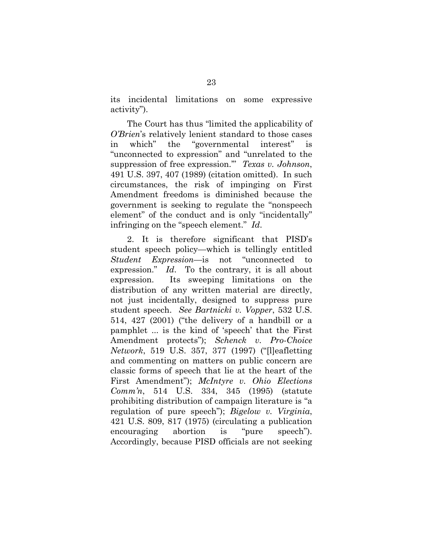its incidental limitations on some expressive activity").

The Court has thus "limited the applicability of *O'Brien*'s relatively lenient standard to those cases in which" the "governmental interest" is "unconnected to expression" and "unrelated to the suppression of free expression.'" *Texas v. Johnson*, 491 U.S. 397, 407 (1989) (citation omitted). In such circumstances, the risk of impinging on First Amendment freedoms is diminished because the government is seeking to regulate the "nonspeech element" of the conduct and is only "incidentally" infringing on the "speech element." *Id*.

2. It is therefore significant that PISD's student speech policy—which is tellingly entitled *Student Expression*—is not "unconnected to expression." *Id*. To the contrary, it is all about expression. Its sweeping limitations on the distribution of any written material are directly, not just incidentally, designed to suppress pure student speech. *See Bartnicki v. Vopper*, 532 U.S. 514, 427 (2001) ("the delivery of a handbill or a pamphlet ... is the kind of 'speech' that the First Amendment protects"); *Schenck v. Pro-Choice Network*, 519 U.S. 357, 377 (1997) ("[l]eafletting and commenting on matters on public concern are classic forms of speech that lie at the heart of the First Amendment"); *McIntyre v. Ohio Elections Comm'n*, 514 U.S. 334, 345 (1995) (statute prohibiting distribution of campaign literature is "a regulation of pure speech"); *Bigelow v. Virginia*, 421 U.S. 809, 817 (1975) (circulating a publication encouraging abortion is "pure speech"). Accordingly, because PISD officials are not seeking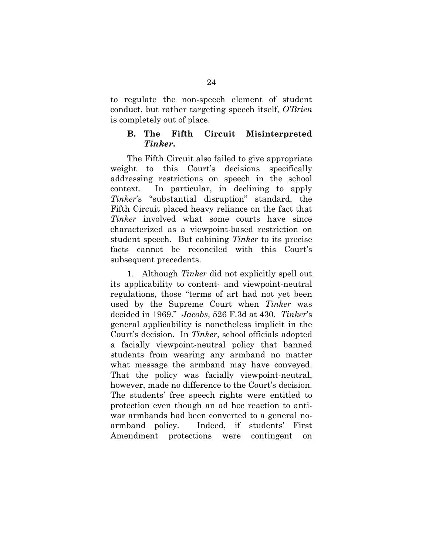to regulate the non-speech element of student conduct, but rather targeting speech itself, *O'Brien*  is completely out of place.

# **B. The Fifth Circuit Misinterpreted**  *Tinker***.**

The Fifth Circuit also failed to give appropriate weight to this Court's decisions specifically addressing restrictions on speech in the school context. In particular, in declining to apply *Tinker*'s "substantial disruption" standard, the Fifth Circuit placed heavy reliance on the fact that *Tinker* involved what some courts have since characterized as a viewpoint-based restriction on student speech. But cabining *Tinker* to its precise facts cannot be reconciled with this Court's subsequent precedents.

1. Although *Tinker* did not explicitly spell out its applicability to content- and viewpoint-neutral regulations, those "terms of art had not yet been used by the Supreme Court when *Tinker* was decided in 1969." *Jacobs*, 526 F.3d at 430. *Tinker*'s general applicability is nonetheless implicit in the Court's decision. In *Tinker*, school officials adopted a facially viewpoint-neutral policy that banned students from wearing any armband no matter what message the armband may have conveyed. That the policy was facially viewpoint-neutral, however, made no difference to the Court's decision. The students' free speech rights were entitled to protection even though an ad hoc reaction to antiwar armbands had been converted to a general noarmband policy. Indeed, if students' First Amendment protections were contingent on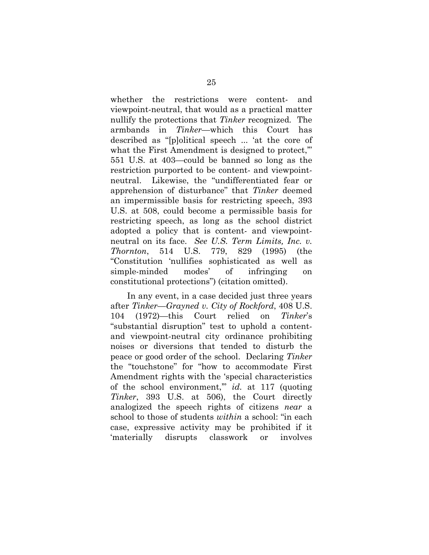whether the restrictions were content- and viewpoint-neutral, that would as a practical matter nullify the protections that *Tinker* recognized*.* The armbands in *Tinker*—which this Court has described as "[p]olitical speech ... 'at the core of what the First Amendment is designed to protect," 551 U.S. at 403—could be banned so long as the restriction purported to be content- and viewpointneutral. Likewise, the "undifferentiated fear or apprehension of disturbance" that *Tinker* deemed an impermissible basis for restricting speech, 393 U.S. at 508, could become a permissible basis for restricting speech, as long as the school district adopted a policy that is content- and viewpointneutral on its face. *See U.S. Term Limits, Inc. v. Thornton*, 514 U.S. 779, 829 (1995) (the "Constitution 'nullifies sophisticated as well as simple-minded modes' of infringing on constitutional protections") (citation omitted).

In any event, in a case decided just three years after *Tinker*—*Grayned v. City of Rockford*, 408 U.S. 104 (1972)—this Court relied on *Tinker*'s "substantial disruption" test to uphold a contentand viewpoint-neutral city ordinance prohibiting noises or diversions that tended to disturb the peace or good order of the school. Declaring *Tinker* the "touchstone" for "how to accommodate First Amendment rights with the 'special characteristics of the school environment,'" *id.* at 117 (quoting *Tinker*, 393 U.S. at 506), the Court directly analogized the speech rights of citizens *near* a school to those of students *within* a school: "in each case, expressive activity may be prohibited if it 'materially disrupts classwork or involves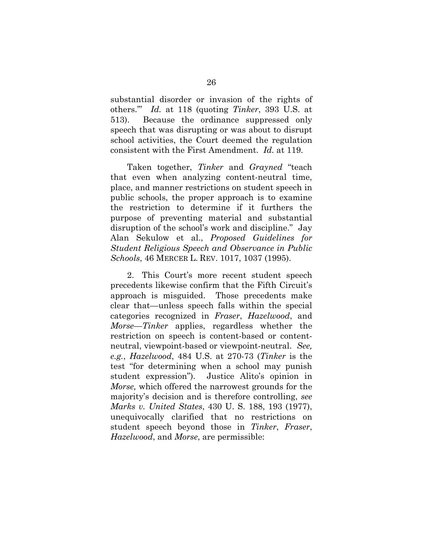substantial disorder or invasion of the rights of others.'" *Id.* at 118 (quoting *Tinker*, 393 U.S. at 513). Because the ordinance suppressed only speech that was disrupting or was about to disrupt school activities, the Court deemed the regulation consistent with the First Amendment. *Id.* at 119.

Taken together, *Tinker* and *Grayned* "teach that even when analyzing content-neutral time, place, and manner restrictions on student speech in public schools, the proper approach is to examine the restriction to determine if it furthers the purpose of preventing material and substantial disruption of the school's work and discipline." Jay Alan Sekulow et al., *Proposed Guidelines for Student Religious Speech and Observance in Public Schools*, 46 MERCER L. REV. 1017, 1037 (1995).

2. This Court's more recent student speech precedents likewise confirm that the Fifth Circuit's approach is misguided. Those precedents make clear that—unless speech falls within the special categories recognized in *Fraser*, *Hazelwood*, and *Morse*—*Tinker* applies, regardless whether the restriction on speech is content-based or contentneutral, viewpoint-based or viewpoint-neutral. *See, e.g.*, *Hazelwood*, 484 U.S. at 270-73 (*Tinker* is the test "for determining when a school may punish student expression"). Justice Alito's opinion in *Morse,* which offered the narrowest grounds for the majority's decision and is therefore controlling, *see Marks v. United States*, 430 U. S. 188, 193 (1977), unequivocally clarified that no restrictions on student speech beyond those in *Tinker*, *Fraser*, *Hazelwood*, and *Morse*, are permissible: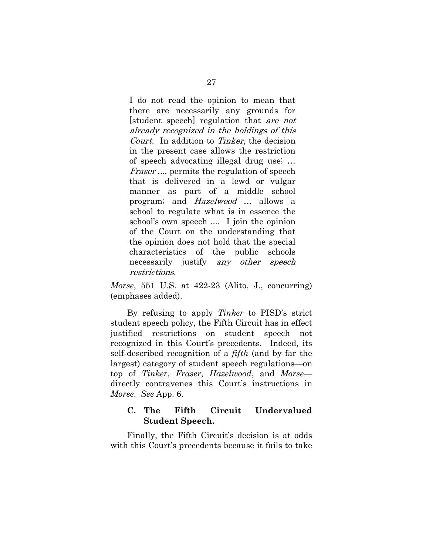I do not read the opinion to mean that there are necessarily any grounds for [student speech] regulation that are not already recognized in the holdings of this Court. In addition to Tinker, the decision in the present case allows the restriction of speech advocating illegal drug use; … Fraser .... permits the regulation of speech that is delivered in a lewd or vulgar manner as part of a middle school program; and Hazelwood … allows a school to regulate what is in essence the school's own speech .... I join the opinion of the Court on the understanding that the opinion does not hold that the special characteristics of the public schools necessarily justify any other speech restrictions.

*Morse*, 551 U.S. at 422-23 (Alito, J., concurring) (emphases added).

By refusing to apply *Tinker* to PISD's strict student speech policy, the Fifth Circuit has in effect justified restrictions on student speech not recognized in this Court's precedents. Indeed, its self-described recognition of a *fifth* (and by far the largest) category of student speech regulations—on top of *Tinker*, *Fraser*, *Hazelwood*, and *Morse* directly contravenes this Court's instructions in *Morse*. *See* App. 6.

# **C. The Fifth Circuit Undervalued Student Speech.**

Finally, the Fifth Circuit's decision is at odds with this Court's precedents because it fails to take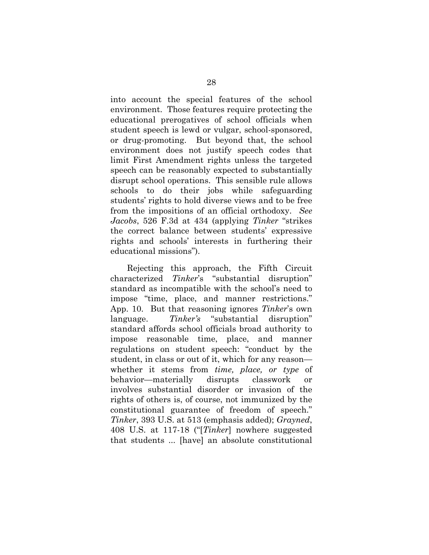into account the special features of the school environment. Those features require protecting the educational prerogatives of school officials when student speech is lewd or vulgar, school-sponsored, or drug-promoting. But beyond that, the school environment does not justify speech codes that limit First Amendment rights unless the targeted speech can be reasonably expected to substantially disrupt school operations. This sensible rule allows schools to do their jobs while safeguarding students' rights to hold diverse views and to be free from the impositions of an official orthodoxy. *See Jacobs*, 526 F.3d at 434 (applying *Tinker* "strikes the correct balance between students' expressive rights and schools' interests in furthering their educational missions").

Rejecting this approach, the Fifth Circuit characterized *Tinker*'s "substantial disruption" standard as incompatible with the school's need to impose "time, place, and manner restrictions." App. 10. But that reasoning ignores *Tinker*'s own language. *Tinker's* "substantial disruption" standard affords school officials broad authority to impose reasonable time, place, and manner regulations on student speech: "conduct by the student, in class or out of it, which for any reason whether it stems from *time, place, or type* of behavior—materially disrupts classwork or involves substantial disorder or invasion of the rights of others is, of course, not immunized by the constitutional guarantee of freedom of speech." *Tinker*, 393 U.S. at 513 (emphasis added); *Grayned*, 408 U.S. at 117-18 ("[*Tinker*] nowhere suggested that students ... [have] an absolute constitutional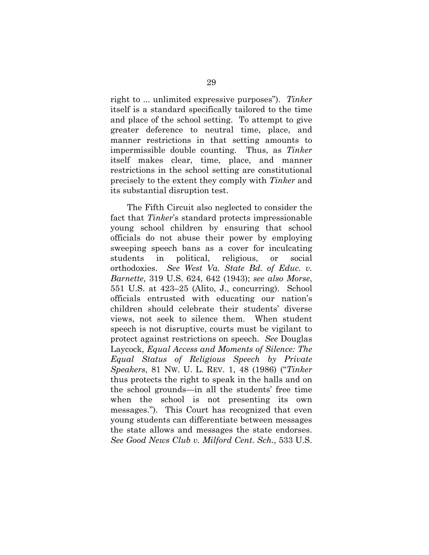right to ... unlimited expressive purposes"). *Tinker*  itself is a standard specifically tailored to the time and place of the school setting. To attempt to give greater deference to neutral time, place, and manner restrictions in that setting amounts to impermissible double counting. Thus, as *Tinker* itself makes clear, time, place, and manner restrictions in the school setting are constitutional precisely to the extent they comply with *Tinker* and its substantial disruption test.

The Fifth Circuit also neglected to consider the fact that *Tinker*'s standard protects impressionable young school children by ensuring that school officials do not abuse their power by employing sweeping speech bans as a cover for inculcating students in political, religious, or social orthodoxies. *See West Va. State Bd. of Educ. v. Barnette*, 319 U.S. 624, 642 (1943); *see also Morse*, 551 U.S. at 423–25 (Alito, J., concurring). School officials entrusted with educating our nation's children should celebrate their students' diverse views, not seek to silence them. When student speech is not disruptive, courts must be vigilant to protect against restrictions on speech. *See* Douglas Laycock, *Equal Access and Moments of Silence: The Equal Status of Religious Speech by Private Speakers*, 81 NW. U. L. REV. 1, 48 (1986) ("*Tinker*  thus protects the right to speak in the halls and on the school grounds—in all the students' free time when the school is not presenting its own messages."). This Court has recognized that even young students can differentiate between messages the state allows and messages the state endorses. *See Good News Club v. Milford Cent. Sch.*, 533 U.S.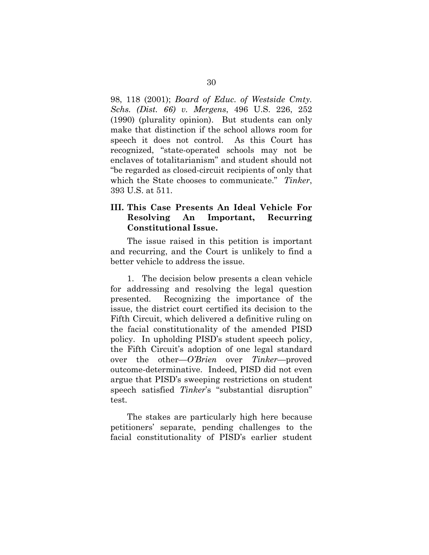98, 118 (2001); *Board of Educ. of Westside Cmty. Schs. (Dist. 66) v. Mergens*, 496 U.S. 226, 252 (1990) (plurality opinion). But students can only make that distinction if the school allows room for speech it does not control.As this Court has recognized, "state-operated schools may not be enclaves of totalitarianism" and student should not "be regarded as closed-circuit recipients of only that which the State chooses to communicate." *Tinker*, 393 U.S. at 511.

# **III. This Case Presents An Ideal Vehicle For Resolving An Important, Recurring Constitutional Issue.**

The issue raised in this petition is important and recurring, and the Court is unlikely to find a better vehicle to address the issue.

1. The decision below presents a clean vehicle for addressing and resolving the legal question presented. Recognizing the importance of the issue, the district court certified its decision to the Fifth Circuit, which delivered a definitive ruling on the facial constitutionality of the amended PISD policy. In upholding PISD's student speech policy, the Fifth Circuit's adoption of one legal standard over the other—*O'Brien* over *Tinker*—proved outcome-determinative. Indeed, PISD did not even argue that PISD's sweeping restrictions on student speech satisfied *Tinker*'s "substantial disruption" test*.*

The stakes are particularly high here because petitioners' separate, pending challenges to the facial constitutionality of PISD's earlier student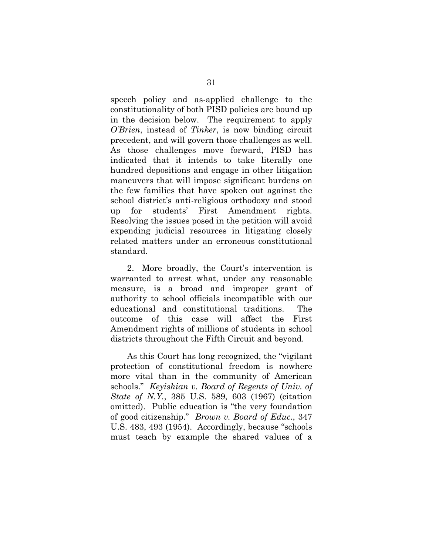speech policy and as-applied challenge to the constitutionality of both PISD policies are bound up in the decision below. The requirement to apply *O'Brien*, instead of *Tinker*, is now binding circuit precedent, and will govern those challenges as well. As those challenges move forward, PISD has indicated that it intends to take literally one hundred depositions and engage in other litigation maneuvers that will impose significant burdens on the few families that have spoken out against the school district's anti-religious orthodoxy and stood up for students' First Amendment rights. Resolving the issues posed in the petition will avoid expending judicial resources in litigating closely related matters under an erroneous constitutional standard.

2. More broadly, the Court's intervention is warranted to arrest what, under any reasonable measure, is a broad and improper grant of authority to school officials incompatible with our educational and constitutional traditions. The outcome of this case will affect the First Amendment rights of millions of students in school districts throughout the Fifth Circuit and beyond.

As this Court has long recognized, the "vigilant protection of constitutional freedom is nowhere more vital than in the community of American schools." *Keyishian v. Board of Regents of Univ. of State of N.Y.*, 385 U.S. 589, 603 (1967) (citation omitted). Public education is "the very foundation of good citizenship." *Brown v. Board of Educ.*, 347 U.S. 483, 493 (1954). Accordingly, because "schools must teach by example the shared values of a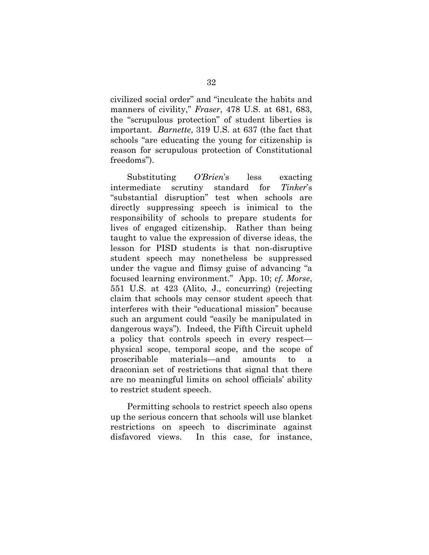civilized social order" and "inculcate the habits and manners of civility," *Fraser*, 478 U.S. at 681, 683, the "scrupulous protection" of student liberties is important. *Barnette*, 319 U.S. at 637 (the fact that schools "are educating the young for citizenship is reason for scrupulous protection of Constitutional freedoms").

Substituting *O'Brien*'s less exacting intermediate scrutiny standard for *Tinker*'s "substantial disruption" test when schools are directly suppressing speech is inimical to the responsibility of schools to prepare students for lives of engaged citizenship. Rather than being taught to value the expression of diverse ideas, the lesson for PISD students is that non-disruptive student speech may nonetheless be suppressed under the vague and flimsy guise of advancing "a focused learning environment." App. 10; *cf. Morse*, 551 U.S. at 423 (Alito, J., concurring) (rejecting claim that schools may censor student speech that interferes with their "educational mission" because such an argument could "easily be manipulated in dangerous ways"). Indeed, the Fifth Circuit upheld a policy that controls speech in every respect physical scope, temporal scope, and the scope of proscribable materials—and amounts to a draconian set of restrictions that signal that there are no meaningful limits on school officials' ability to restrict student speech.

Permitting schools to restrict speech also opens up the serious concern that schools will use blanket restrictions on speech to discriminate against disfavored views. In this case, for instance,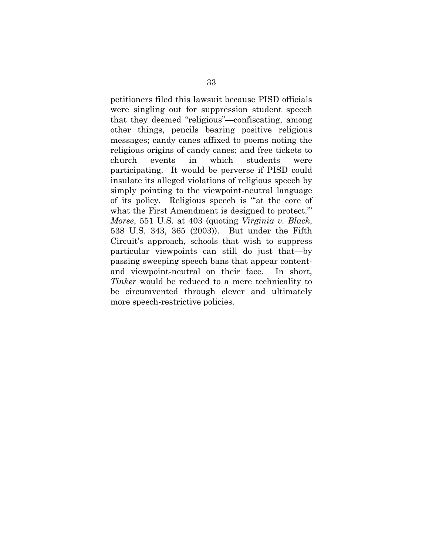petitioners filed this lawsuit because PISD officials were singling out for suppression student speech that they deemed "religious"—confiscating, among other things, pencils bearing positive religious messages; candy canes affixed to poems noting the religious origins of candy canes; and free tickets to church events in which students were participating. It would be perverse if PISD could insulate its alleged violations of religious speech by simply pointing to the viewpoint-neutral language of its policy. Religious speech is "'at the core of what the First Amendment is designed to protect." *Morse*, 551 U.S. at 403 (quoting *Virginia v. Black*, 538 U.S. 343, 365 (2003)). But under the Fifth Circuit's approach, schools that wish to suppress particular viewpoints can still do just that—by passing sweeping speech bans that appear contentand viewpoint-neutral on their face. In short, *Tinker* would be reduced to a mere technicality to be circumvented through clever and ultimately more speech-restrictive policies.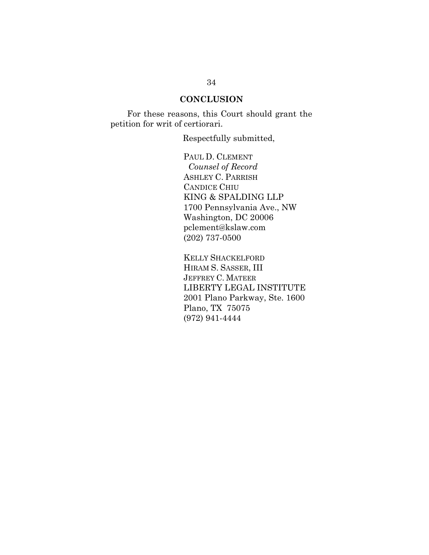# **CONCLUSION**

For these reasons, this Court should grant the petition for writ of certiorari.

Respectfully submitted,

PAUL D. CLEMENT *Counsel of Record* ASHLEY C. PARRISH CANDICE CHIU KING & SPALDING LLP 1700 Pennsylvania Ave., NW Washington, DC 20006 pclement@kslaw.com (202) 737-0500

KELLY SHACKELFORD HIRAM S. SASSER, III JEFFREY C. MATEER LIBERTY LEGAL INSTITUTE 2001 Plano Parkway, Ste. 1600 Plano, TX 75075 (972) 941-4444